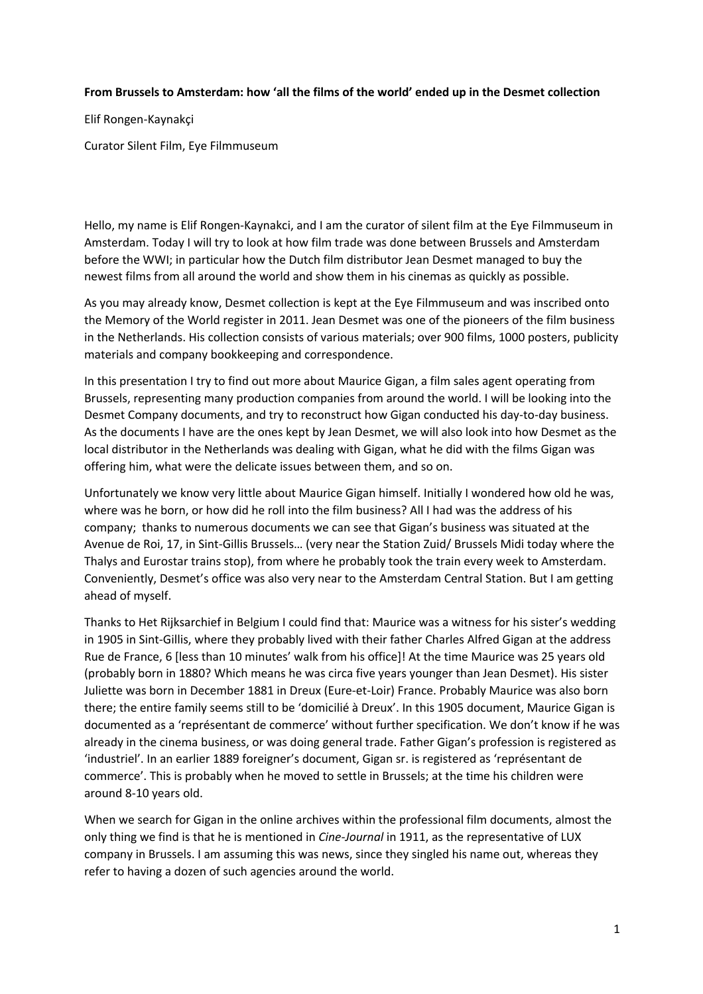## **From Brussels to Amsterdam: how 'all the films of the world' ended up in the Desmet collection**

Elif Rongen-Kaynakçi

Curator Silent Film, Eye Filmmuseum

Hello, my name is Elif Rongen-Kaynakci, and I am the curator of silent film at the Eye Filmmuseum in Amsterdam. Today I will try to look at how film trade was done between Brussels and Amsterdam before the WWI; in particular how the Dutch film distributor Jean Desmet managed to buy the newest films from all around the world and show them in his cinemas as quickly as possible.

As you may already know, Desmet collection is kept at the Eye Filmmuseum and was inscribed onto the Memory of the World register in 2011. Jean Desmet was one of the pioneers of the film business in the Netherlands. His collection consists of various materials; over 900 films, 1000 posters, publicity materials and company bookkeeping and correspondence.

In this presentation I try to find out more about Maurice Gigan, a film sales agent operating from Brussels, representing many production companies from around the world. I will be looking into the Desmet Company documents, and try to reconstruct how Gigan conducted his day-to-day business. As the documents I have are the ones kept by Jean Desmet, we will also look into how Desmet as the local distributor in the Netherlands was dealing with Gigan, what he did with the films Gigan was offering him, what were the delicate issues between them, and so on.

Unfortunately we know very little about Maurice Gigan himself. Initially I wondered how old he was, where was he born, or how did he roll into the film business? All I had was the address of his company; thanks to numerous documents we can see that Gigan's business was situated at the Avenue de Roi, 17, in Sint-Gillis Brussels… (very near the Station Zuid/ Brussels Midi today where the Thalys and Eurostar trains stop), from where he probably took the train every week to Amsterdam. Conveniently, Desmet's office was also very near to the Amsterdam Central Station. But I am getting ahead of myself.

Thanks to Het Rijksarchief in Belgium I could find that: Maurice was a witness for his sister's wedding in 1905 in Sint-Gillis, where they probably lived with their father Charles Alfred Gigan at the address Rue de France, 6 [less than 10 minutes' walk from his office]! At the time Maurice was 25 years old (probably born in 1880? Which means he was circa five years younger than Jean Desmet). His sister Juliette was born in December 1881 in Dreux (Eure-et-Loir) France. Probably Maurice was also born there; the entire family seems still to be 'domicilié à Dreux'. In this 1905 document, Maurice Gigan is documented as a 'représentant de commerce' without further specification. We don't know if he was already in the cinema business, or was doing general trade. Father Gigan's profession is registered as 'industriel'. In an earlier 1889 foreigner's document, Gigan sr. is registered as 'représentant de commerce'. This is probably when he moved to settle in Brussels; at the time his children were around 8-10 years old.

When we search for Gigan in the online archives within the professional film documents, almost the only thing we find is that he is mentioned in *Cine-Journal* in 1911, as the representative of LUX company in Brussels. I am assuming this was news, since they singled his name out, whereas they refer to having a dozen of such agencies around the world.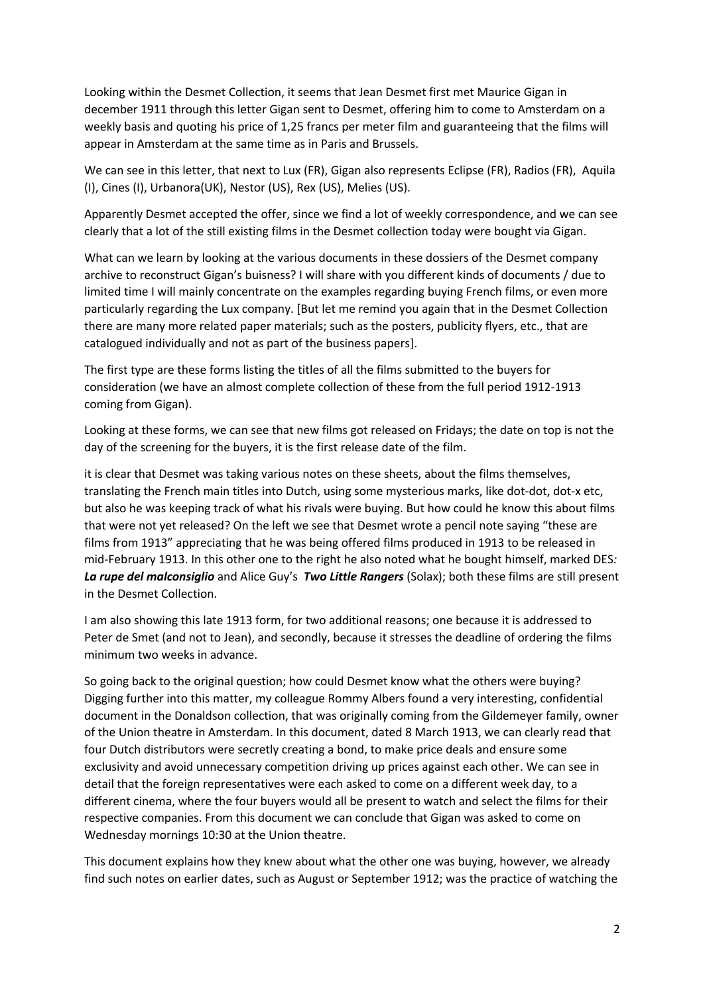Looking within the Desmet Collection, it seems that Jean Desmet first met Maurice Gigan in december 1911 through this letter Gigan sent to Desmet, offering him to come to Amsterdam on a weekly basis and quoting his price of 1,25 francs per meter film and guaranteeing that the films will appear in Amsterdam at the same time as in Paris and Brussels.

We can see in this letter, that next to Lux (FR), Gigan also represents Eclipse (FR), Radios (FR), Aquila (I), Cines (I), Urbanora(UK), Nestor (US), Rex (US), Melies (US).

Apparently Desmet accepted the offer, since we find a lot of weekly correspondence, and we can see clearly that a lot of the still existing films in the Desmet collection today were bought via Gigan.

What can we learn by looking at the various documents in these dossiers of the Desmet company archive to reconstruct Gigan's buisness? I will share with you different kinds of documents / due to limited time I will mainly concentrate on the examples regarding buying French films, or even more particularly regarding the Lux company. [But let me remind you again that in the Desmet Collection there are many more related paper materials; such as the posters, publicity flyers, etc., that are catalogued individually and not as part of the business papers].

The first type are these forms listing the titles of all the films submitted to the buyers for consideration (we have an almost complete collection of these from the full period 1912-1913 coming from Gigan).

Looking at these forms, we can see that new films got released on Fridays; the date on top is not the day of the screening for the buyers, it is the first release date of the film.

it is clear that Desmet was taking various notes on these sheets, about the films themselves, translating the French main titles into Dutch, using some mysterious marks, like dot-dot, dot-x etc, but also he was keeping track of what his rivals were buying. But how could he know this about films that were not yet released? On the left we see that Desmet wrote a pencil note saying "these are films from 1913" appreciating that he was being offered films produced in 1913 to be released in mid-February 1913. In this other one to the right he also noted what he bought himself, marked DES*: La rupe del malconsiglio* and Alice Guy's *Two Little Rangers* (Solax); both these films are still present in the Desmet Collection.

I am also showing this late 1913 form, for two additional reasons; one because it is addressed to Peter de Smet (and not to Jean), and secondly, because it stresses the deadline of ordering the films minimum two weeks in advance.

So going back to the original question; how could Desmet know what the others were buying? Digging further into this matter, my colleague Rommy Albers found a very interesting, confidential document in the Donaldson collection, that was originally coming from the Gildemeyer family, owner of the Union theatre in Amsterdam. In this document, dated 8 March 1913, we can clearly read that four Dutch distributors were secretly creating a bond, to make price deals and ensure some exclusivity and avoid unnecessary competition driving up prices against each other. We can see in detail that the foreign representatives were each asked to come on a different week day, to a different cinema, where the four buyers would all be present to watch and select the films for their respective companies. From this document we can conclude that Gigan was asked to come on Wednesday mornings 10:30 at the Union theatre.

This document explains how they knew about what the other one was buying, however, we already find such notes on earlier dates, such as August or September 1912; was the practice of watching the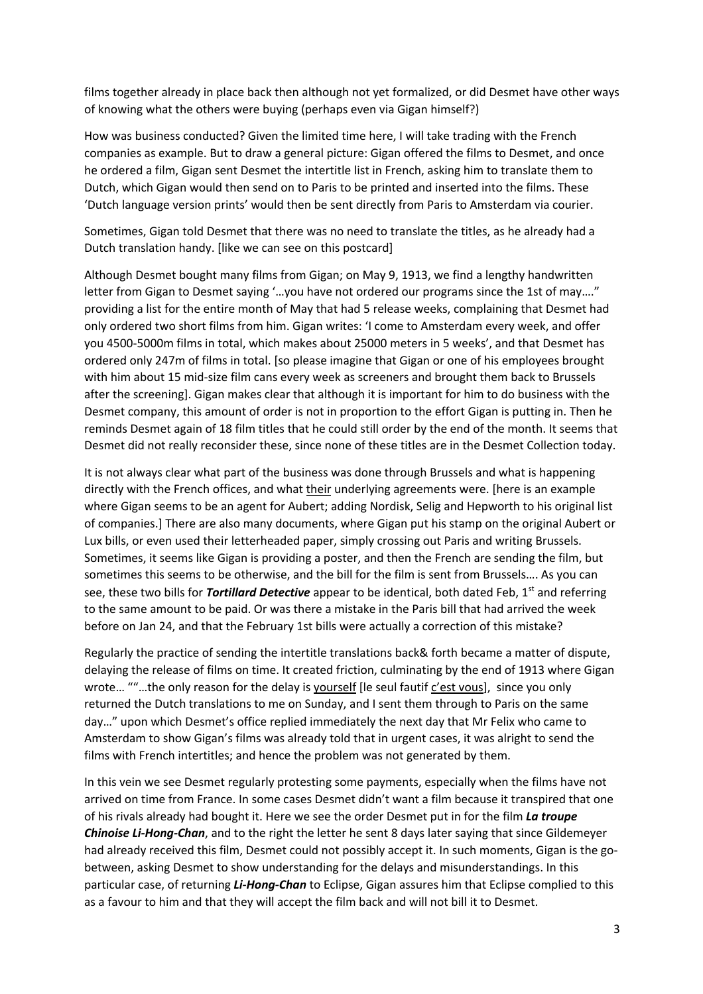films together already in place back then although not yet formalized, or did Desmet have other ways of knowing what the others were buying (perhaps even via Gigan himself?)

How was business conducted? Given the limited time here, I will take trading with the French companies as example. But to draw a general picture: Gigan offered the films to Desmet, and once he ordered a film, Gigan sent Desmet the intertitle list in French, asking him to translate them to Dutch, which Gigan would then send on to Paris to be printed and inserted into the films. These 'Dutch language version prints' would then be sent directly from Paris to Amsterdam via courier.

Sometimes, Gigan told Desmet that there was no need to translate the titles, as he already had a Dutch translation handy. [like we can see on this postcard]

Although Desmet bought many films from Gigan; on May 9, 1913, we find a lengthy handwritten letter from Gigan to Desmet saying '…you have not ordered our programs since the 1st of may…." providing a list for the entire month of May that had 5 release weeks, complaining that Desmet had only ordered two short films from him. Gigan writes: 'I come to Amsterdam every week, and offer you 4500-5000m films in total, which makes about 25000 meters in 5 weeks', and that Desmet has ordered only 247m of films in total. [so please imagine that Gigan or one of his employees brought with him about 15 mid-size film cans every week as screeners and brought them back to Brussels after the screening]. Gigan makes clear that although it is important for him to do business with the Desmet company, this amount of order is not in proportion to the effort Gigan is putting in. Then he reminds Desmet again of 18 film titles that he could still order by the end of the month. It seems that Desmet did not really reconsider these, since none of these titles are in the Desmet Collection today.

It is not always clear what part of the business was done through Brussels and what is happening directly with the French offices, and what their underlying agreements were. [here is an example where Gigan seems to be an agent for Aubert; adding Nordisk, Selig and Hepworth to his original list of companies.] There are also many documents, where Gigan put his stamp on the original Aubert or Lux bills, or even used their letterheaded paper, simply crossing out Paris and writing Brussels. Sometimes, it seems like Gigan is providing a poster, and then the French are sending the film, but sometimes this seems to be otherwise, and the bill for the film is sent from Brussels…. As you can see, these two bills for *Tortillard Detective* appear to be identical, both dated Feb, 1<sup>st</sup> and referring to the same amount to be paid. Or was there a mistake in the Paris bill that had arrived the week before on Jan 24, and that the February 1st bills were actually a correction of this mistake?

Regularly the practice of sending the intertitle translations back& forth became a matter of dispute, delaying the release of films on time. It created friction, culminating by the end of 1913 where Gigan wrote… ""…the only reason for the delay is yourself [le seul fautif c'est vous], since you only returned the Dutch translations to me on Sunday, and I sent them through to Paris on the same day…" upon which Desmet's office replied immediately the next day that Mr Felix who came to Amsterdam to show Gigan's films was already told that in urgent cases, it was alright to send the films with French intertitles; and hence the problem was not generated by them.

In this vein we see Desmet regularly protesting some payments, especially when the films have not arrived on time from France. In some cases Desmet didn't want a film because it transpired that one of his rivals already had bought it. Here we see the order Desmet put in for the film *La troupe Chinoise Li-Hong-Chan*, and to the right the letter he sent 8 days later saying that since Gildemeyer had already received this film, Desmet could not possibly accept it. In such moments, Gigan is the gobetween, asking Desmet to show understanding for the delays and misunderstandings. In this particular case, of returning *Li-Hong-Chan* to Eclipse, Gigan assures him that Eclipse complied to this as a favour to him and that they will accept the film back and will not bill it to Desmet.